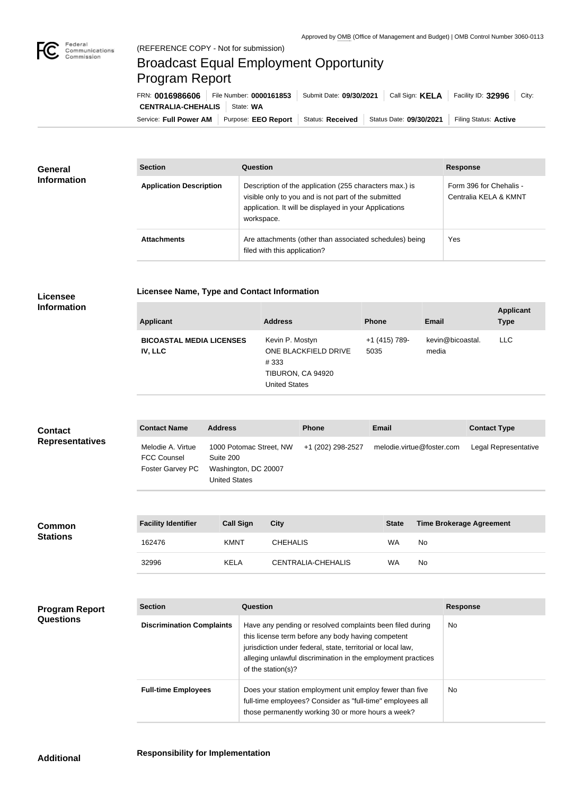

## Broadcast Equal Employment Opportunity Program Report

Service: Full Power AM | Purpose: EEO Report | Status: Received | Status Date: 09/30/2021 | Filing Status: Active **CENTRALIA-CHEHALIS** | State: WA FRN: **0016986606** File Number: **0000161853** Submit Date: **09/30/2021** Call Sign: **KELA** Facility ID: **32996** City:

| <b>General</b><br><b>Information</b> | <b>Section</b>                 | Question                                                                                                                                                                                | <b>Response</b>                                  |
|--------------------------------------|--------------------------------|-----------------------------------------------------------------------------------------------------------------------------------------------------------------------------------------|--------------------------------------------------|
|                                      | <b>Application Description</b> | Description of the application (255 characters max.) is<br>visible only to you and is not part of the submitted<br>application. It will be displayed in your Applications<br>workspace. | Form 396 for Chehalis -<br>Centralia KELA & KMNT |
|                                      | <b>Attachments</b>             | Are attachments (other than associated schedules) being<br>filed with this application?                                                                                                 | Yes                                              |

## **Licensee**

| Licensee Name, Type and Contact Information |  |
|---------------------------------------------|--|
|                                             |  |

| Information |
|-------------|
|-------------|

| <b>Applicant</b>                           | <b>Address</b>                                                                               | <b>Phone</b>          | Email                     | <b>Applicant</b><br><b>Type</b> |
|--------------------------------------------|----------------------------------------------------------------------------------------------|-----------------------|---------------------------|---------------------------------|
| <b>BICOASTAL MEDIA LICENSES</b><br>IV, LLC | Kevin P. Mostyn<br>ONE BLACKFIELD DRIVE<br>#333<br>TIBURON, CA 94920<br><b>United States</b> | +1 (415) 789-<br>5035 | kevin@bicoastal.<br>media | <b>LLC</b>                      |

| <b>Contact</b>         | <b>Contact Name</b>                                         | <b>Address</b>                                                                       | <b>Phone</b>      | <b>Email</b>              | <b>Contact Type</b>  |
|------------------------|-------------------------------------------------------------|--------------------------------------------------------------------------------------|-------------------|---------------------------|----------------------|
| <b>Representatives</b> | Melodie A. Virtue<br><b>FCC Counsel</b><br>Foster Garvey PC | 1000 Potomac Street, NW<br>Suite 200<br>Washington, DC 20007<br><b>United States</b> | +1 (202) 298-2527 | melodie.virtue@foster.com | Legal Representative |

| <b>Common</b><br><b>Stations</b> | <b>Facility Identifier</b> | <b>Call Sign</b> | <b>City</b>        | <b>State</b> | <b>Time Brokerage Agreement</b> |
|----------------------------------|----------------------------|------------------|--------------------|--------------|---------------------------------|
|                                  | 162476                     | <b>KMNT</b>      | <b>CHEHALIS</b>    | WA           | No                              |
|                                  | 32996                      | <b>KELA</b>      | CENTRALIA-CHEHALIS | WA           | No                              |

| <b>Program Report</b><br><b>Questions</b> | <b>Section</b>                   | Question                                                                                                                                                                                                                                                              | <b>Response</b> |
|-------------------------------------------|----------------------------------|-----------------------------------------------------------------------------------------------------------------------------------------------------------------------------------------------------------------------------------------------------------------------|-----------------|
|                                           | <b>Discrimination Complaints</b> | Have any pending or resolved complaints been filed during<br>this license term before any body having competent<br>jurisdiction under federal, state, territorial or local law,<br>alleging unlawful discrimination in the employment practices<br>of the station(s)? | No.             |
|                                           | <b>Full-time Employees</b>       | Does your station employment unit employ fewer than five<br>full-time employees? Consider as "full-time" employees all<br>those permanently working 30 or more hours a week?                                                                                          | No.             |